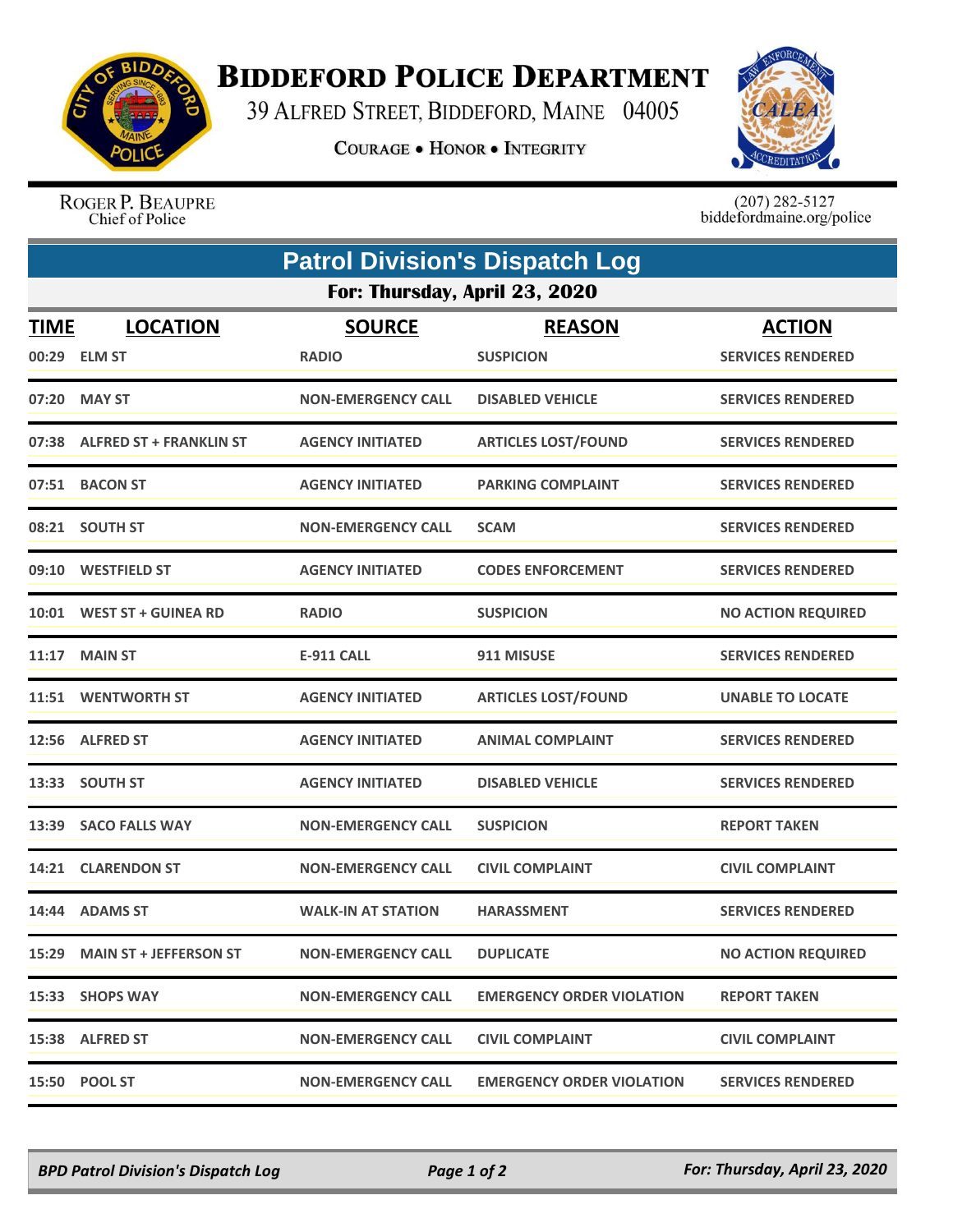

## **BIDDEFORD POLICE DEPARTMENT**

39 ALFRED STREET, BIDDEFORD, MAINE 04005

**COURAGE . HONOR . INTEGRITY** 



ROGER P. BEAUPRE Chief of Police

 $(207)$  282-5127<br>biddefordmaine.org/police

| <b>Patrol Division's Dispatch Log</b> |                                 |                               |                                   |                                           |  |  |  |
|---------------------------------------|---------------------------------|-------------------------------|-----------------------------------|-------------------------------------------|--|--|--|
| For: Thursday, April 23, 2020         |                                 |                               |                                   |                                           |  |  |  |
| <u>TIME</u>                           | <b>LOCATION</b><br>00:29 ELM ST | <b>SOURCE</b><br><b>RADIO</b> | <b>REASON</b><br><b>SUSPICION</b> | <b>ACTION</b><br><b>SERVICES RENDERED</b> |  |  |  |
|                                       | 07:20 MAY ST                    | <b>NON-EMERGENCY CALL</b>     | <b>DISABLED VEHICLE</b>           | <b>SERVICES RENDERED</b>                  |  |  |  |
|                                       | 07:38 ALFRED ST + FRANKLIN ST   | <b>AGENCY INITIATED</b>       | <b>ARTICLES LOST/FOUND</b>        | <b>SERVICES RENDERED</b>                  |  |  |  |
|                                       | 07:51 BACON ST                  | <b>AGENCY INITIATED</b>       | <b>PARKING COMPLAINT</b>          | <b>SERVICES RENDERED</b>                  |  |  |  |
|                                       | 08:21 SOUTH ST                  | <b>NON-EMERGENCY CALL</b>     | <b>SCAM</b>                       | <b>SERVICES RENDERED</b>                  |  |  |  |
|                                       | 09:10 WESTFIELD ST              | <b>AGENCY INITIATED</b>       | <b>CODES ENFORCEMENT</b>          | <b>SERVICES RENDERED</b>                  |  |  |  |
|                                       | 10:01 WEST ST + GUINEA RD       | <b>RADIO</b>                  | <b>SUSPICION</b>                  | <b>NO ACTION REQUIRED</b>                 |  |  |  |
| 11:17                                 | <b>MAIN ST</b>                  | <b>E-911 CALL</b>             | 911 MISUSE                        | <b>SERVICES RENDERED</b>                  |  |  |  |
|                                       | 11:51 WENTWORTH ST              | <b>AGENCY INITIATED</b>       | <b>ARTICLES LOST/FOUND</b>        | <b>UNABLE TO LOCATE</b>                   |  |  |  |
|                                       | 12:56 ALFRED ST                 | <b>AGENCY INITIATED</b>       | <b>ANIMAL COMPLAINT</b>           | <b>SERVICES RENDERED</b>                  |  |  |  |
|                                       | 13:33 SOUTH ST                  | <b>AGENCY INITIATED</b>       | <b>DISABLED VEHICLE</b>           | <b>SERVICES RENDERED</b>                  |  |  |  |
| 13:39                                 | <b>SACO FALLS WAY</b>           | <b>NON-EMERGENCY CALL</b>     | <b>SUSPICION</b>                  | <b>REPORT TAKEN</b>                       |  |  |  |
|                                       | 14:21 CLARENDON ST              | <b>NON-EMERGENCY CALL</b>     | <b>CIVIL COMPLAINT</b>            | <b>CIVIL COMPLAINT</b>                    |  |  |  |
|                                       | 14:44 ADAMS ST                  | <b>WALK-IN AT STATION</b>     | <b>HARASSMENT</b>                 | <b>SERVICES RENDERED</b>                  |  |  |  |
|                                       | 15:29 MAIN ST + JEFFERSON ST    | <b>NON-EMERGENCY CALL</b>     | <b>DUPLICATE</b>                  | <b>NO ACTION REQUIRED</b>                 |  |  |  |
|                                       | 15:33 SHOPS WAY                 | <b>NON-EMERGENCY CALL</b>     | <b>EMERGENCY ORDER VIOLATION</b>  | <b>REPORT TAKEN</b>                       |  |  |  |
|                                       | 15:38 ALFRED ST                 | <b>NON-EMERGENCY CALL</b>     | <b>CIVIL COMPLAINT</b>            | <b>CIVIL COMPLAINT</b>                    |  |  |  |
|                                       | 15:50 POOL ST                   | <b>NON-EMERGENCY CALL</b>     | <b>EMERGENCY ORDER VIOLATION</b>  | <b>SERVICES RENDERED</b>                  |  |  |  |